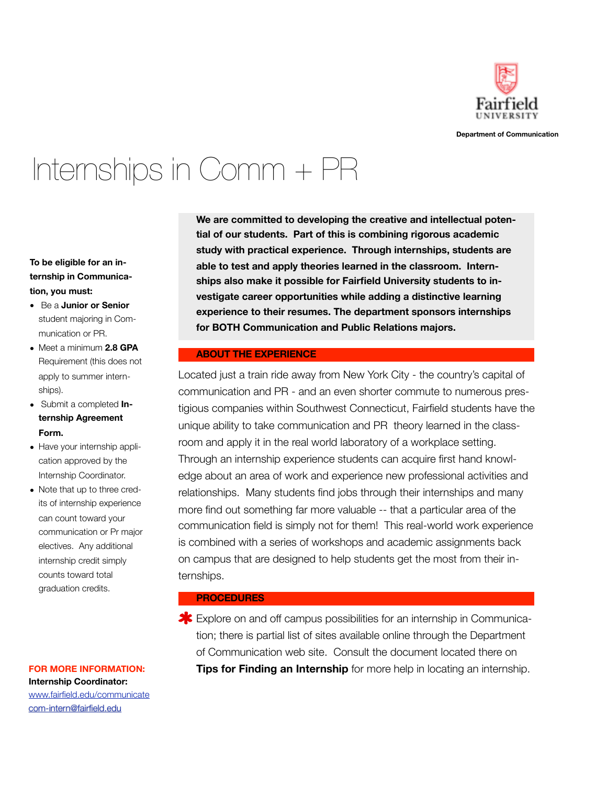

**Department of Communication**

## Internships in Comm + PR

### **To be eligible for an internship in Communication, you must:**

- Be a **Junior or Senior** student majoring in Communication or PR.
- Meet a minimum **2.8 GPA** Requirement (this does not apply to summer internships).
- Submit a completed **Internship Agreement Form.**
- Have your internship application approved by the Internship Coordinator.
- Note that up to three credits of internship experience can count toward your communication or Pr major electives. Any additional internship credit simply counts toward total graduation credits.

#### **FOR MORE INFORMATION:**

**Internship Coordinator:** [www.fairfield.edu/communicate](http://www.fairfield.edu/communicate) [com-intern@fairfield.edu](mailto:com-intern@fairfield.edu)

**We are committed to developing the creative and intellectual potential of our students. Part of this is combining rigorous academic study with practical experience. Through internships, students are able to test and apply theories learned in the classroom. Internships also make it possible for Fairfield University students to investigate career opportunities while adding a distinctive learning experience to their resumes. The department sponsors internships for BOTH Communication and Public Relations majors.**

#### **ABOUT THE EXPERIENCE**

Located just a train ride away from New York City - the country's capital of communication and PR - and an even shorter commute to numerous prestigious companies within Southwest Connecticut, Fairfield students have the unique ability to take communication and PR theory learned in the classroom and apply it in the real world laboratory of a workplace setting. Through an internship experience students can acquire first hand knowledge about an area of work and experience new professional activities and relationships. Many students find jobs through their internships and many more find out something far more valuable -- that a particular area of the communication field is simply not for them! This real-world work experience is combined with a series of workshops and academic assignments back on campus that are designed to help students get the most from their internships.

#### **PROCEDURES**

**\*** Explore on and off campus possibilities for an internship in Communication; there is partial list of sites available online through the Department of Communication web site. Consult the document located there on **Tips for Finding an Internship** for more help in locating an internship.